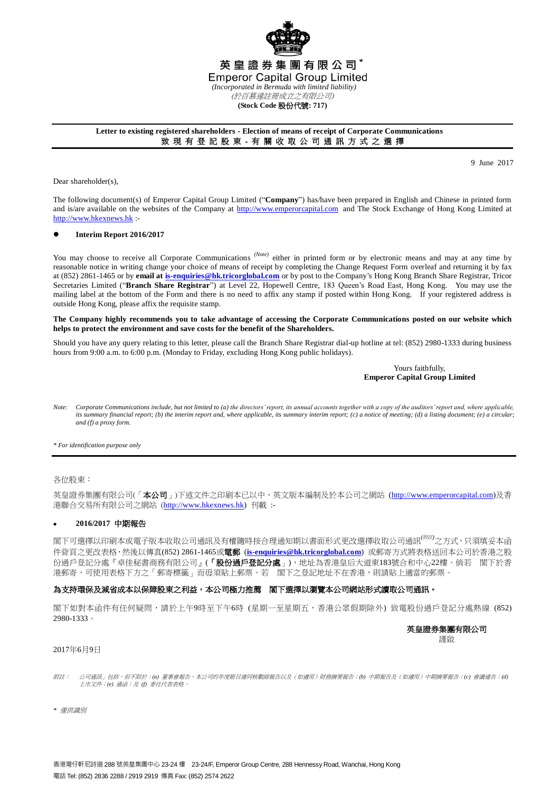

## **Letter to existing registered shareholders - Election of means of receipt of Corporate Communications** 致 現 有 登 記 股 東 - 有 關 收 取 公 司 通 訊 方 式 之 選 擇

9 June 2017

Dear shareholder(s),

The following document(s) of Emperor Capital Group Limited ("**Company**") has/have been prepared in English and Chinese in printed form and is/are available on the websites of the Company at [http://www.emperorcapital.com](http://www.emperorcapital.com/) and The Stock Exchange of Hong Kong Limited at [http://www.hkexnews.hk](http://www.hkexnews.hk/) :-

## **Interim Report 2016/2017**

You may choose to receive all Corporate Communications <sup>(Note)</sup> either in printed form or by electronic means and may at any time by reasonable notice in writing change your choice of means of receipt by completing the Change Request Form overleaf and returning it by fax at (852) 2861-1465 or by **email a[t is-enquiries@hk.tricorglobal.com](mailto:is-enquiries@hk.tricorglobal.com)** or by post to the Company's Hong Kong Branch Share Registrar, Tricor Secretaries Limited ("**Branch Share Registrar**") at Level 22, Hopewell Centre, 183 Queen's Road East, Hong Kong. You may use the mailing label at the bottom of the Form and there is no need to affix any stamp if posted within Hong Kong. If your registered address is outside Hong Kong, please affix the requisite stamp.

## **The Company highly recommends you to take advantage of accessing the Corporate Communications posted on our website which helps to protect the environment and save costs for the benefit of the Shareholders.**

Should you have any query relating to this letter, please call the Branch Share Registrar dial-up hotline at tel: (852) 2980-1333 during business hours from 9:00 a.m. to 6:00 p.m. (Monday to Friday, excluding Hong Kong public holidays).

## Yours faithfully, **Emperor Capital Group Limited**

*Note: Corporate Communications include, but not limited to (a) the directors' report, its annual accounts together with a copy of the auditors' report and, where applicable, its summary financial report; (b) the interim report and, where applicable, its summary interim report; (c) a notice of meeting; (d) a listing document; (e) a circular; and (f) a proxy form.*

*\* For identification purpose only*

#### 各位股東:

英皇證券集團有限公司(「本公司」)下述文件之印刷本已以中、英文版本編制及於本公司之網站 (http://www.emperorcapital.com)及香 港聯合交易所有限公司之網站 ([http://www.hkexnews.hk\)](http://www.hkex.news.hk/) 刊載 :-

## **2016/2017** 中期報告

閣下可選擇以印刷本或電子版本收取公司通訊及有權隨時按合理通知期以書面形式更改選擇收取公司通訊*(*附註*)*之方式,只須填妥本函 件背頁之更改表格,然後以傳真(852) 2861-1465或電郵 (**[is-enquiries@hk.tricorglobal.com](mailto:is-enquiries@hk.tricorglobal.com)**) 或郵寄方式將表格送回本公司於香港之股 份過戶登記分處『卓佳秘書商務有限公司』(「股份過戶登記分處」),地址為香港皇后大道東183號合和中心22樓。倘若 閣下於香 港郵寄,可使用表格下方之「郵寄標籤」而毋須貼上郵票。若 閣下之登記地址不在香港,則請貼上適當的郵票。

## 為支持環保及減省成本以保障股東之利益,本公司極力推薦 閣下選擇以瀏覽本公司網站形式讀取公司通訊。

閣下如對本函件有任何疑問,請於上午9時至下午6時 (星期一至星期五,香港公眾假期除外) 致電股份過戶登記分處熱線 (852) 2980-1333。

# 英皇證券集團有限公司

謹啟

#### 2017年6月9日

附註: 「公司通訊」包括,但不限於:*(a)* 董事會報告、本公司的年度賬目連同核數師報告以及(如適用)財務摘要報告;*(b)* 中期報告及(如適用)中期摘要報告;*(c)* 會議通告;*(d)* 上上市文件;*(e)* 通函;及 *(f)* 委任代表表格。

*\** 僅供識別